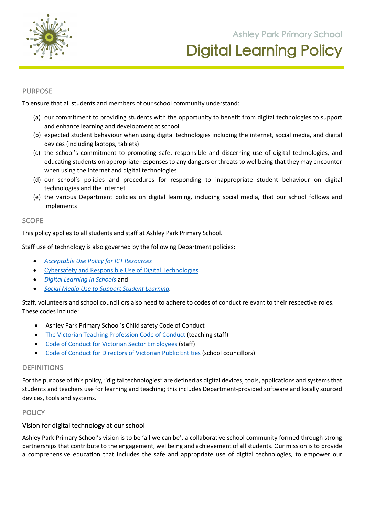

## PURPOSE

To ensure that all students and members of our school community understand:

(a) our commitment to providing students with the opportunity to benefit from digital technologies to support and enhance learning and development at school

**105 Orchard Road Doreen 3754**

- (b) expected student behaviour when using digital technologies including the internet, social media, and digital devices (including laptops, tablets)
- (c) the school's commitment to promoting safe, responsible and discerning use of digital technologies, and educating students on appropriate responses to any dangers or threats to wellbeing that they may encounter when using the internet and digital technologies
- (d) our school's policies and procedures for responding to inappropriate student behaviour on digital technologies and the internet
- (e) the various Department policies on digital learning, including social media, that our school follows and implements

### **SCOPE**

This policy applies to all students and staff at Ashley Park Primary School.

Staff use of technology is also governed by the following Department policies:

- *Acceptable Use Policy for ICT Resources*
- Cybersafety and Responsible Use of Digital Technologies
- *Digital Learning in Schools* and
- *Social Media Use to Support Student Learning.*

Staff, volunteers and school councillors also need to adhere to codes of conduct relevant to their respective roles. These codes include:

- Ashley Park Primary School's Child safety Code of Conduct
- The Victorian Teaching Profession Code of Conduct (teaching staff)
- Code of Conduct for Victorian Sector Employees (staff)
- Code of Conduct for Directors of Victorian Public Entities (school councillors)

### DEFINITIONS

For the purpose of this policy, "digital technologies" are defined as digital devices, tools, applications and systems that students and teachers use for learning and teaching; this includes Department-provided software and locally sourced devices, tools and systems.

### **POLICY**

## Vision for digital technology at our school

Ashley Park Primary School's vision is to be 'all we can be', a collaborative school community formed through strong partnerships that contribute to the engagement, wellbeing and achievement of all students. Our mission is to provide a comprehensive education that includes the safe and appropriate use of digital technologies, to empower our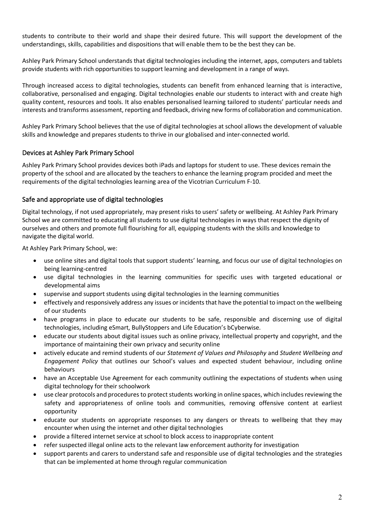students to contribute to their world and shape their desired future. This will support the development of the understandings, skills, capabilities and dispositions that will enable them to be the best they can be.

Ashley Park Primary School understands that digital technologies including the internet, apps, computers and tablets provide students with rich opportunities to support learning and development in a range of ways.

Through increased access to digital technologies, students can benefit from enhanced learning that is interactive, collaborative, personalised and engaging. Digital technologies enable our students to interact with and create high quality content, resources and tools. It also enables personalised learning tailored to students' particular needs and interests and transforms assessment, reporting and feedback, driving new forms of collaboration and communication.

Ashley Park Primary School believes that the use of digital technologies at school allows the development of valuable skills and knowledge and prepares students to thrive in our globalised and inter-connected world.

## Devices at Ashley Park Primary School

Ashley Park Primary School provides devices both iPads and laptops for student to use. These devices remain the property of the school and are allocated by the teachers to enhance the learning program procided and meet the requirements of the digital technologies learning area of the Vicotrian Curriculum F-10.

## Safe and appropriate use of digital technologies

Digital technology, if not used appropriately, may present risks to users' safety or wellbeing. At Ashley Park Primary School we are committed to educating all students to use digital technologies in ways that respect the dignity of ourselves and others and promote full flourishing for all, equipping students with the skills and knowledge to navigate the digital world.

At Ashley Park Primary School, we:

- use online sites and digital tools that support students' learning, and focus our use of digital technologies on being learning-centred
- use digital technologies in the learning communities for specific uses with targeted educational or developmental aims
- supervise and support students using digital technologies in the learning communities
- effectively and responsively address any issues or incidents that have the potential to impact on the wellbeing of our students
- have programs in place to educate our students to be safe, responsible and discerning use of digital technologies, including eSmart, BullyStoppers and Life Education's bCyberwise.
- educate our students about digital issues such as online privacy, intellectual property and copyright, and the importance of maintaining their own privacy and security online
- actively educate and remind students of our *Statement of Values and Philosophy* and *Student Wellbeing and Engagement Policy* that outlines our School's values and expected student behaviour, including online behaviours
- have an Acceptable Use Agreement for each community outlining the expectations of students when using digital technology for their schoolwork
- use clear protocols and procedures to protect students working in online spaces, which includes reviewing the safety and appropriateness of online tools and communities, removing offensive content at earliest opportunity
- educate our students on appropriate responses to any dangers or threats to wellbeing that they may encounter when using the internet and other digital technologies
- provide a filtered internet service at school to block access to inappropriate content
- refer suspected illegal online acts to the relevant law enforcement authority for investigation
- support parents and carers to understand safe and responsible use of digital technologies and the strategies that can be implemented at home through regular communication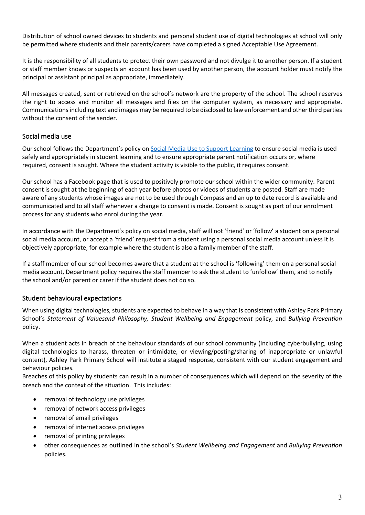Distribution of school owned devices to students and personal student use of digital technologies at school will only be permitted where students and their parents/carers have completed a signed Acceptable Use Agreement.

It is the responsibility of all students to protect their own password and not divulge it to another person. If a student or staff member knows or suspects an account has been used by another person, the account holder must notify the principal or assistant principal as appropriate, immediately.

All messages created, sent or retrieved on the school's network are the property of the school. The school reserves the right to access and monitor all messages and files on the computer system, as necessary and appropriate. Communications including text and images may be required to be disclosed to law enforcement and other third parties without the consent of the sender.

# Social media use

Our school follows the Department's policy on Social Media Use to Support Learning to ensure social media is used safely and appropriately in student learning and to ensure appropriate parent notification occurs or, where required, consent is sought. Where the student activity is visible to the public, it requires consent.

Our school has a Facebook page that is used to positively promote our school within the wider community. Parent consent is sought at the beginning of each year before photos or videos of students are posted. Staff are made aware of any students whose images are not to be used through Compass and an up to date record is available and communicated and to all staff whenever a change to consent is made. Consent is sought as part of our enrolment process for any students who enrol during the year.

In accordance with the Department's policy on social media, staff will not 'friend' or 'follow' a student on a personal social media account, or accept a 'friend' request from a student using a personal social media account unless it is objectively appropriate, for example where the student is also a family member of the staff.

If a staff member of our school becomes aware that a student at the school is 'following' them on a personal social media account, Department policy requires the staff member to ask the student to 'unfollow' them, and to notify the school and/or parent or carer if the student does not do so.

# Student behavioural expectations

When using digital technologies, students are expected to behave in a way that is consistent with Ashley Park Primary School's *Statement of Valuesand Philosophy, Student Wellbeing and Engagement* policy, and *Bullying Prevention*  policy.

When a student acts in breach of the behaviour standards of our school community (including cyberbullying, using digital technologies to harass, threaten or intimidate, or viewing/posting/sharing of inappropriate or unlawful content), Ashley Park Primary School will institute a staged response, consistent with our student engagement and behaviour policies.

Breaches of this policy by students can result in a number of consequences which will depend on the severity of the breach and the context of the situation. This includes:

- removal of technology use privileges
- removal of network access privileges
- removal of email privileges
- removal of internet access privileges
- removal of printing privileges
- other consequences as outlined in the school's *Student Wellbeing and Engagement* and *Bullying Prevention* policies.